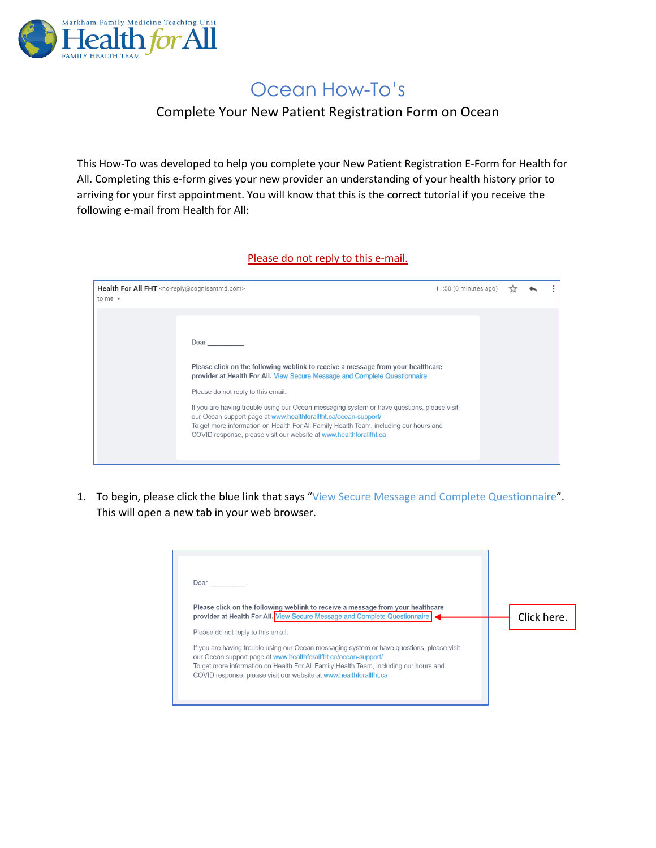

## Ocean How-To's

## Complete Your New Patient Registration Form on Ocean

This How-To was developed to help you complete your New Patient Registration E-Form for Health for All. Completing this e-form gives your new provider an understanding of your health history prior to arriving for your first appointment. You will know that this is the correct tutorial if you receive the following e-mail from Health for All:

## Please do not reply to this e-mail.

| Health For All FHT <no-reply@cognisantmd.com><br/>to me <math>\sqrt{ }</math></no-reply@cognisantmd.com> |                                                                                                                                                                                                                                                                                                                                                                                                                                                                                                                                                            | 11:50 (0 minutes ago) |  |  |
|----------------------------------------------------------------------------------------------------------|------------------------------------------------------------------------------------------------------------------------------------------------------------------------------------------------------------------------------------------------------------------------------------------------------------------------------------------------------------------------------------------------------------------------------------------------------------------------------------------------------------------------------------------------------------|-----------------------|--|--|
|                                                                                                          | Dear ______________<br>Please click on the following weblink to receive a message from your healthcare<br>provider at Health For All. View Secure Message and Complete Questionnaire<br>Please do not reply to this email.<br>If you are having trouble using our Ocean messaging system or have questions, please visit<br>our Ocean support page at www.healthforallfht.ca/ocean-support/<br>To get more information on Health For All Family Health Team, including our hours and<br>COVID response, please visit our website at www.healthforallfht.ca |                       |  |  |

1. To begin, please click the blue link that says "View Secure Message and Complete Questionnaire". This will open a new tab in your web browser.

| Dear<br>Please click on the following weblink to receive a message from your healthcare<br>provider at Health For All. View Secure Message and Complete Questionnaire<br>Click here.<br>Please do not reply to this email.<br>If you are having trouble using our Ocean messaging system or have questions, please visit<br>our Ocean support page at www.healthforallfht.ca/ocean-support/<br>To get more information on Health For All Family Health Team, including our hours and<br>COVID response, please visit our website at www.healthforallfht.ca |  |
|------------------------------------------------------------------------------------------------------------------------------------------------------------------------------------------------------------------------------------------------------------------------------------------------------------------------------------------------------------------------------------------------------------------------------------------------------------------------------------------------------------------------------------------------------------|--|
|                                                                                                                                                                                                                                                                                                                                                                                                                                                                                                                                                            |  |
|                                                                                                                                                                                                                                                                                                                                                                                                                                                                                                                                                            |  |
|                                                                                                                                                                                                                                                                                                                                                                                                                                                                                                                                                            |  |
|                                                                                                                                                                                                                                                                                                                                                                                                                                                                                                                                                            |  |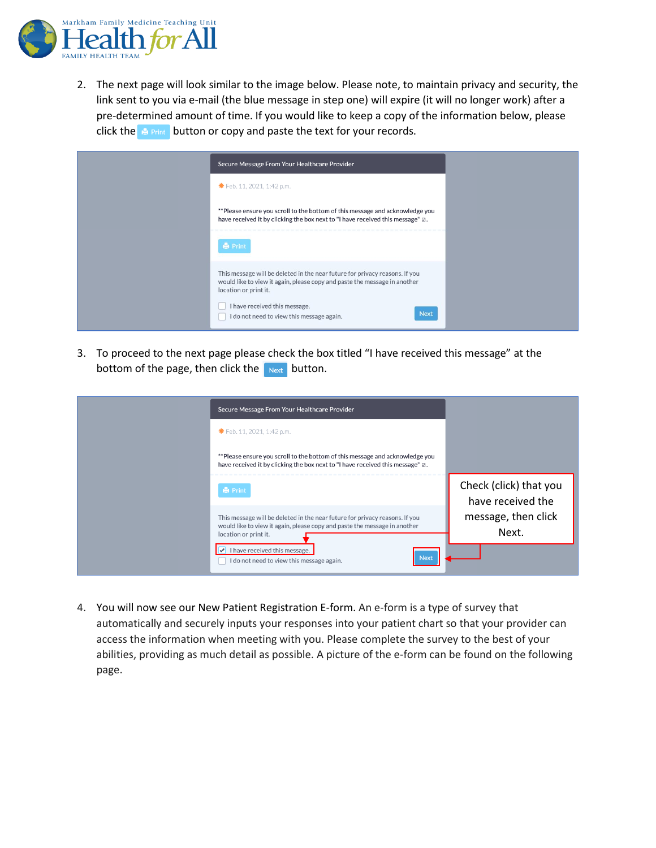

2. The next page will look similar to the image below. Please note, to maintain privacy and security, the link sent to you via e-mail (the blue message in step one) will expire (it will no longer work) after a pre-determined amount of time. If you would like to keep a copy of the information below, please click the  $\mathbb{B}$  Print button or copy and paste the text for your records.



3. To proceed to the next page please check the box titled "I have received this message" at the bottom of the page, then click the  $\log$  button.

| Secure Message From Your Healthcare Provider                                                                                                                                      |                                             |
|-----------------------------------------------------------------------------------------------------------------------------------------------------------------------------------|---------------------------------------------|
| <b>*</b> Feb. 11, 2021, 1:42 p.m.                                                                                                                                                 |                                             |
| **Please ensure you scroll to the bottom of this message and acknowledge you<br>have received it by clicking the box next to "I have received this message" $\boxtimes$ .         |                                             |
| <b>Print</b>                                                                                                                                                                      | Check (click) that you<br>have received the |
| This message will be deleted in the near future for privacy reasons. If you<br>would like to view it again, please copy and paste the message in another<br>location or print it. | message, then click<br>Next.                |
| I have received this message.<br>Next<br>I do not need to view this message again.                                                                                                |                                             |

4. You will now see our New Patient Registration E-form. An e-form is a type of survey that automatically and securely inputs your responses into your patient chart so that your provider can access the information when meeting with you. Please complete the survey to the best of your abilities, providing as much detail as possible. A picture of the e-form can be found on the following page.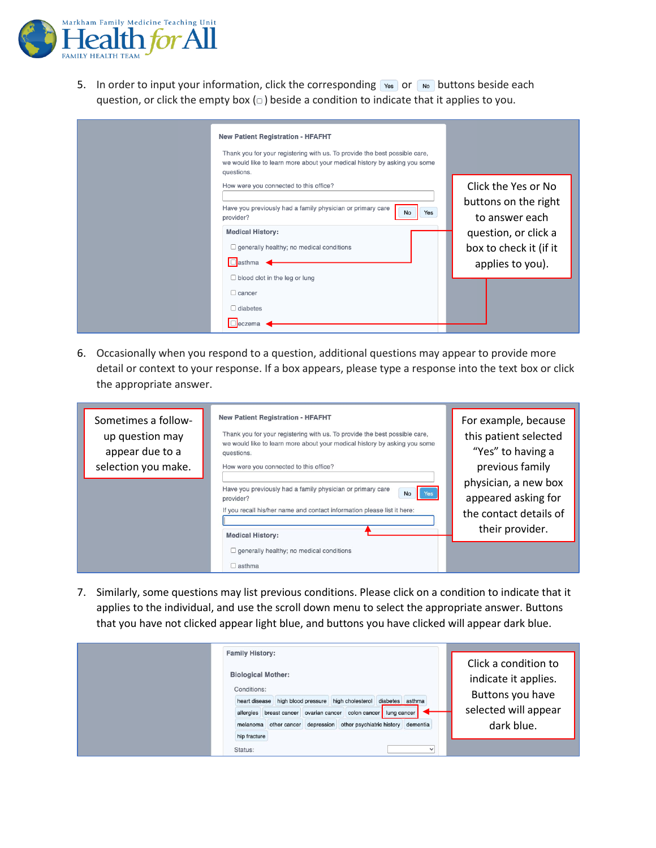

5. In order to input your information, click the corresponding  $\sqrt{ }$  or  $\sqrt{ }$  buttons beside each question, or click the empty box  $( \Box )$  beside a condition to indicate that it applies to you.

| <b>New Patient Registration - HFAFHT</b><br>Thank you for your registering with us. To provide the best possible care,<br>we would like to learn more about your medical history by asking you some<br>questions.             |                                                                                                                                     |
|-------------------------------------------------------------------------------------------------------------------------------------------------------------------------------------------------------------------------------|-------------------------------------------------------------------------------------------------------------------------------------|
| How were you connected to this office?<br>Have you previously had a family physician or primary care<br>No<br>Yes<br>provider?<br><b>Medical History:</b><br>$\Box$ generally healthy; no medical conditions<br>$\Box$ asthma | Click the Yes or No<br>buttons on the right<br>to answer each<br>question, or click a<br>box to check it (if it<br>applies to you). |
| $\Box$ blood clot in the leg or lung<br>$\Box$ cancer<br>$\Box$ diabetes<br>$\Box$ eczema                                                                                                                                     |                                                                                                                                     |

6. Occasionally when you respond to a question, additional questions may appear to provide more detail or context to your response. If a box appears, please type a response into the text box or click the appropriate answer.

| Sometimes a follow-<br>up question may<br>appear due to a<br>selection you make. | <b>New Patient Registration - HFAFHT</b><br>Thank you for your registering with us. To provide the best possible care,<br>we would like to learn more about your medical history by asking you some<br>questions.<br>How were you connected to this office? | For example, because<br>this patient selected<br>"Yes" to having a<br>previous family    |  |
|----------------------------------------------------------------------------------|-------------------------------------------------------------------------------------------------------------------------------------------------------------------------------------------------------------------------------------------------------------|------------------------------------------------------------------------------------------|--|
|                                                                                  | Have you previously had a family physician or primary care<br>No<br><b>T</b> Yes<br>provider?<br>If you recall his/her name and contact information please list it here:<br><b>Medical History:</b>                                                         | physician, a new box<br>appeared asking for<br>the contact details of<br>their provider. |  |
|                                                                                  | $\Box$ generally healthy; no medical conditions<br>$\Box$ asthma                                                                                                                                                                                            |                                                                                          |  |

7. Similarly, some questions may list previous conditions. Please click on a condition to indicate that it applies to the individual, and use the scroll down menu to select the appropriate answer. Buttons that you have not clicked appear light blue, and buttons you have clicked will appear dark blue.

| <b>Family History:</b>                                                                                                                                                                                                                                                                 |                                                                                                        |
|----------------------------------------------------------------------------------------------------------------------------------------------------------------------------------------------------------------------------------------------------------------------------------------|--------------------------------------------------------------------------------------------------------|
| <b>Biological Mother:</b><br>Conditions:<br>heart disease high blood pressure high cholesterol diabetes asthma<br>allergies breast cancer   ovarian cancer   colon cancer   lung cancer  <br>depression other psychiatric history dementia<br>other cancer<br>melanoma<br>hip fracture | Click a condition to<br>indicate it applies.<br>Buttons you have<br>selected will appear<br>dark blue. |
| Status:                                                                                                                                                                                                                                                                                |                                                                                                        |